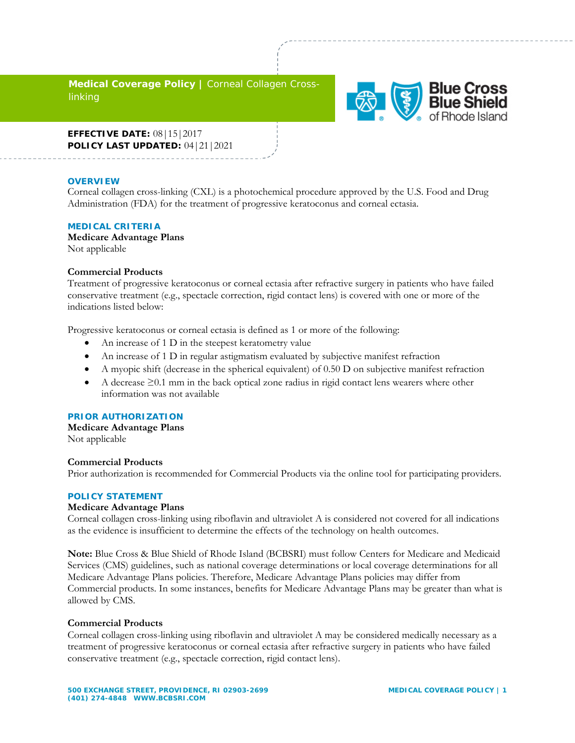**Medical Coverage Policy |** Corneal Collagen Crosslinking



**EFFECTIVE DATE:** 08|15|2017 **POLICY LAST UPDATED:** 04|21|2021

### **OVERVIEW**

Corneal collagen cross-linking (CXL) is a photochemical procedure approved by the U.S. Food and Drug Administration (FDA) for the treatment of progressive keratoconus and corneal ectasia.

### **MEDICAL CRITERIA**

**Medicare Advantage Plans** Not applicable

### **Commercial Products**

Treatment of progressive keratoconus or corneal ectasia after refractive surgery in patients who have failed conservative treatment (e.g., spectacle correction, rigid contact lens) is covered with one or more of the indications listed below:

Progressive keratoconus or corneal ectasia is defined as 1 or more of the following:

- An increase of 1 D in the steepest keratometry value
- An increase of 1 D in regular astigmatism evaluated by subjective manifest refraction
- A myopic shift (decrease in the spherical equivalent) of 0.50 D on subjective manifest refraction
- A decrease  $\geq 0.1$  mm in the back optical zone radius in rigid contact lens wearers where other information was not available

## **PRIOR AUTHORIZATION**

**Medicare Advantage Plans**  Not applicable

#### **Commercial Products**

Prior authorization is recommended for Commercial Products via the online tool for participating providers.

## **POLICY STATEMENT**

## **Medicare Advantage Plans**

Corneal collagen cross-linking using riboflavin and ultraviolet A is considered not covered for all indications as the evidence is insufficient to determine the effects of the technology on health outcomes.

**Note:** Blue Cross & Blue Shield of Rhode Island (BCBSRI) must follow Centers for Medicare and Medicaid Services (CMS) guidelines, such as national coverage determinations or local coverage determinations for all Medicare Advantage Plans policies. Therefore, Medicare Advantage Plans policies may differ from Commercial products. In some instances, benefits for Medicare Advantage Plans may be greater than what is allowed by CMS.

#### **Commercial Products**

Corneal collagen cross-linking using riboflavin and ultraviolet A may be considered medically necessary as a treatment of progressive keratoconus or corneal ectasia after refractive surgery in patients who have failed conservative treatment (e.g., spectacle correction, rigid contact lens).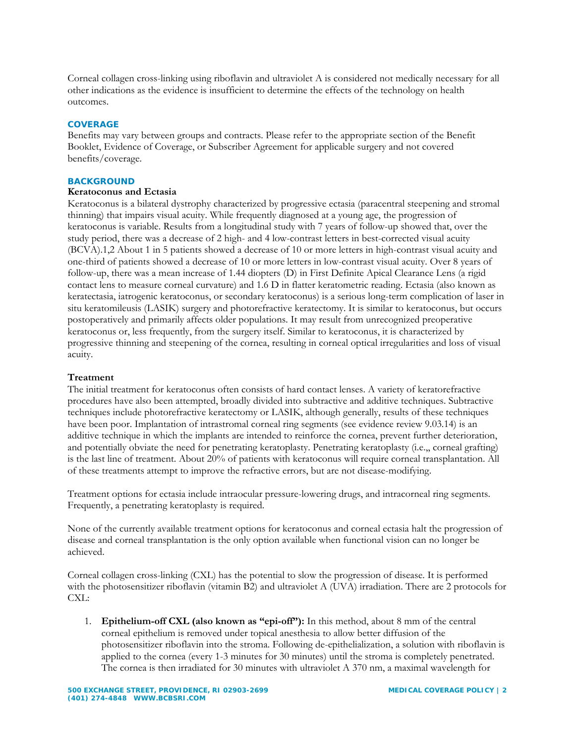Corneal collagen cross-linking using riboflavin and ultraviolet A is considered not medically necessary for all other indications as the evidence is insufficient to determine the effects of the technology on health outcomes.

## **COVERAGE**

Benefits may vary between groups and contracts. Please refer to the appropriate section of the Benefit Booklet, Evidence of Coverage, or Subscriber Agreement for applicable surgery and not covered benefits/coverage.

### **BACKGROUND**

# **Keratoconus and Ectasia**

Keratoconus is a bilateral dystrophy characterized by progressive ectasia (paracentral steepening and stromal thinning) that impairs visual acuity. While frequently diagnosed at a young age, the progression of keratoconus is variable. Results from a longitudinal study with 7 years of follow-up showed that, over the study period, there was a decrease of 2 high- and 4 low-contrast letters in best-corrected visual acuity (BCVA).1,2 About 1 in 5 patients showed a decrease of 10 or more letters in high-contrast visual acuity and one-third of patients showed a decrease of 10 or more letters in low-contrast visual acuity. Over 8 years of follow-up, there was a mean increase of 1.44 diopters (D) in First Definite Apical Clearance Lens (a rigid contact lens to measure corneal curvature) and 1.6 D in flatter keratometric reading. Ectasia (also known as keratectasia, iatrogenic keratoconus, or secondary keratoconus) is a serious long-term complication of laser in situ keratomileusis (LASIK) surgery and photorefractive keratectomy. It is similar to keratoconus, but occurs postoperatively and primarily affects older populations. It may result from unrecognized preoperative keratoconus or, less frequently, from the surgery itself. Similar to keratoconus, it is characterized by progressive thinning and steepening of the cornea, resulting in corneal optical irregularities and loss of visual acuity.

# **Treatment**

The initial treatment for keratoconus often consists of hard contact lenses. A variety of keratorefractive procedures have also been attempted, broadly divided into subtractive and additive techniques. Subtractive techniques include photorefractive keratectomy or LASIK, although generally, results of these techniques have been poor. Implantation of intrastromal corneal ring segments (see evidence review 9.03.14) is an additive technique in which the implants are intended to reinforce the cornea, prevent further deterioration, and potentially obviate the need for penetrating keratoplasty. Penetrating keratoplasty (i.e.,, corneal grafting) is the last line of treatment. About 20% of patients with keratoconus will require corneal transplantation. All of these treatments attempt to improve the refractive errors, but are not disease-modifying.

Treatment options for ectasia include intraocular pressure-lowering drugs, and intracorneal ring segments. Frequently, a penetrating keratoplasty is required.

None of the currently available treatment options for keratoconus and corneal ectasia halt the progression of disease and corneal transplantation is the only option available when functional vision can no longer be achieved.

Corneal collagen cross-linking (CXL) has the potential to slow the progression of disease. It is performed with the photosensitizer riboflavin (vitamin B2) and ultraviolet A (UVA) irradiation. There are 2 protocols for CXL:

1. **Epithelium-off CXL (also known as "epi-off"):** In this method, about 8 mm of the central corneal epithelium is removed under topical anesthesia to allow better diffusion of the photosensitizer riboflavin into the stroma. Following de-epithelialization, a solution with riboflavin is applied to the cornea (every 1-3 minutes for 30 minutes) until the stroma is completely penetrated. The cornea is then irradiated for 30 minutes with ultraviolet A 370 nm, a maximal wavelength for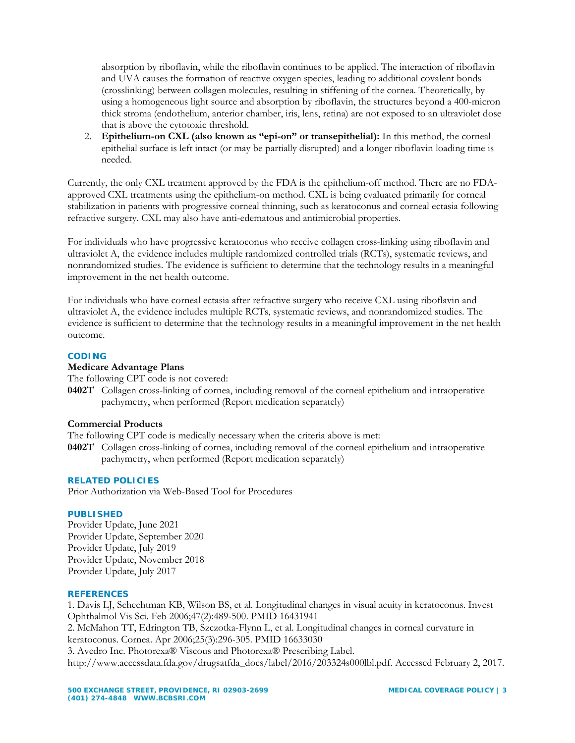absorption by riboflavin, while the riboflavin continues to be applied. The interaction of riboflavin and UVA causes the formation of reactive oxygen species, leading to additional covalent bonds (crosslinking) between collagen molecules, resulting in stiffening of the cornea. Theoretically, by using a homogeneous light source and absorption by riboflavin, the structures beyond a 400-micron thick stroma (endothelium, anterior chamber, iris, lens, retina) are not exposed to an ultraviolet dose that is above the cytotoxic threshold.

2. **Epithelium-on CXL (also known as "epi-on" or transepithelial):** In this method, the corneal epithelial surface is left intact (or may be partially disrupted) and a longer riboflavin loading time is needed.

Currently, the only CXL treatment approved by the FDA is the epithelium-off method. There are no FDAapproved CXL treatments using the epithelium-on method. CXL is being evaluated primarily for corneal stabilization in patients with progressive corneal thinning, such as keratoconus and corneal ectasia following refractive surgery. CXL may also have anti-edematous and antimicrobial properties.

For individuals who have progressive keratoconus who receive collagen cross-linking using riboflavin and ultraviolet A, the evidence includes multiple randomized controlled trials (RCTs), systematic reviews, and nonrandomized studies. The evidence is sufficient to determine that the technology results in a meaningful improvement in the net health outcome.

For individuals who have corneal ectasia after refractive surgery who receive CXL using riboflavin and ultraviolet A, the evidence includes multiple RCTs, systematic reviews, and nonrandomized studies. The evidence is sufficient to determine that the technology results in a meaningful improvement in the net health outcome.

# **CODING**

# **Medicare Advantage Plans**

The following CPT code is not covered:

**0402T** Collagen cross-linking of cornea, including removal of the corneal epithelium and intraoperative pachymetry, when performed (Report medication separately)

# **Commercial Products**

The following CPT code is medically necessary when the criteria above is met:

**0402T** Collagen cross-linking of cornea, including removal of the corneal epithelium and intraoperative pachymetry, when performed (Report medication separately)

# **RELATED POLICIES**

Prior Authorization via Web-Based Tool for Procedures

# **PUBLISHED**

Provider Update, June 2021 Provider Update, September 2020 Provider Update, July 2019 Provider Update, November 2018 Provider Update, July 2017

# **REFERENCES**

1. Davis LJ, Schechtman KB, Wilson BS, et al. Longitudinal changes in visual acuity in keratoconus. Invest Ophthalmol Vis Sci. Feb 2006;47(2):489-500. PMID 16431941

2. McMahon TT, Edrington TB, Szczotka-Flynn L, et al. Longitudinal changes in corneal curvature in keratoconus. Cornea. Apr 2006;25(3):296-305. PMID 16633030

3. Avedro Inc. Photorexa® Viscous and Photorexa® Prescribing Label. http://www.accessdata.fda.gov/drugsatfda\_docs/label/2016/203324s000lbl.pdf. Accessed February 2, 2017.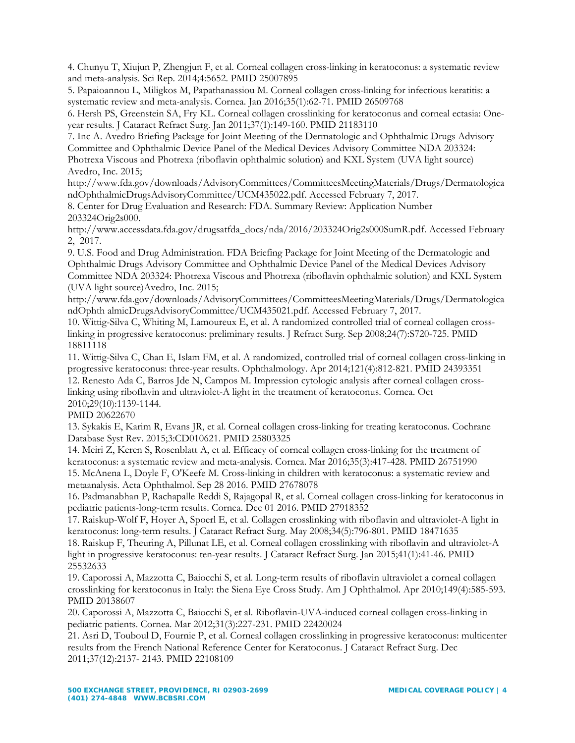4. Chunyu T, Xiujun P, Zhengjun F, et al. Corneal collagen cross-linking in keratoconus: a systematic review and meta-analysis. Sci Rep. 2014;4:5652. PMID 25007895

5. Papaioannou L, Miligkos M, Papathanassiou M. Corneal collagen cross-linking for infectious keratitis: a systematic review and meta-analysis. Cornea. Jan 2016;35(1):62-71. PMID 26509768

6. Hersh PS, Greenstein SA, Fry KL. Corneal collagen crosslinking for keratoconus and corneal ectasia: Oneyear results. J Cataract Refract Surg. Jan 2011;37(1):149-160. PMID 21183110

7. Inc A. Avedro Briefing Package for Joint Meeting of the Dermatologic and Ophthalmic Drugs Advisory Committee and Ophthalmic Device Panel of the Medical Devices Advisory Committee NDA 203324:

Photrexa Viscous and Photrexa (riboflavin ophthalmic solution) and KXL System (UVA light source) Avedro, Inc. 2015;

http://www.fda.gov/downloads/AdvisoryCommittees/CommitteesMeetingMaterials/Drugs/Dermatologica ndOphthalmicDrugsAdvisoryCommittee/UCM435022.pdf. Accessed February 7, 2017.

8. Center for Drug Evaluation and Research: FDA. Summary Review: Application Number 203324Orig2s000.

http://www.accessdata.fda.gov/drugsatfda\_docs/nda/2016/203324Orig2s000SumR.pdf. Accessed February 2, 2017.

9. U.S. Food and Drug Administration. FDA Briefing Package for Joint Meeting of the Dermatologic and Ophthalmic Drugs Advisory Committee and Ophthalmic Device Panel of the Medical Devices Advisory Committee NDA 203324: Photrexa Viscous and Photrexa (riboflavin ophthalmic solution) and KXL System (UVA light source)Avedro, Inc. 2015;

http://www.fda.gov/downloads/AdvisoryCommittees/CommitteesMeetingMaterials/Drugs/Dermatologica ndOphth almicDrugsAdvisoryCommittee/UCM435021.pdf. Accessed February 7, 2017.

10. Wittig-Silva C, Whiting M, Lamoureux E, et al. A randomized controlled trial of corneal collagen crosslinking in progressive keratoconus: preliminary results. J Refract Surg. Sep 2008;24(7):S720-725. PMID 18811118

11. Wittig-Silva C, Chan E, Islam FM, et al. A randomized, controlled trial of corneal collagen cross-linking in progressive keratoconus: three-year results. Ophthalmology. Apr 2014;121(4):812-821. PMID 24393351

12. Renesto Ada C, Barros Jde N, Campos M. Impression cytologic analysis after corneal collagen crosslinking using riboflavin and ultraviolet-A light in the treatment of keratoconus. Cornea. Oct 2010;29(10):1139-1144.

PMID 20622670

13. Sykakis E, Karim R, Evans JR, et al. Corneal collagen cross-linking for treating keratoconus. Cochrane Database Syst Rev. 2015;3:CD010621. PMID 25803325

14. Meiri Z, Keren S, Rosenblatt A, et al. Efficacy of corneal collagen cross-linking for the treatment of keratoconus: a systematic review and meta-analysis. Cornea. Mar 2016;35(3):417-428. PMID 26751990

15. McAnena L, Doyle F, O'Keefe M. Cross-linking in children with keratoconus: a systematic review and metaanalysis. Acta Ophthalmol. Sep 28 2016. PMID 27678078

16. Padmanabhan P, Rachapalle Reddi S, Rajagopal R, et al. Corneal collagen cross-linking for keratoconus in pediatric patients-long-term results. Cornea. Dec 01 2016. PMID 27918352

17. Raiskup-Wolf F, Hoyer A, Spoerl E, et al. Collagen crosslinking with riboflavin and ultraviolet-A light in keratoconus: long-term results. J Cataract Refract Surg. May 2008;34(5):796-801. PMID 18471635 18. Raiskup F, Theuring A, Pillunat LE, et al. Corneal collagen crosslinking with riboflavin and ultraviolet-A light in progressive keratoconus: ten-year results. J Cataract Refract Surg. Jan 2015;41(1):41-46. PMID 25532633

19. Caporossi A, Mazzotta C, Baiocchi S, et al. Long-term results of riboflavin ultraviolet a corneal collagen crosslinking for keratoconus in Italy: the Siena Eye Cross Study. Am J Ophthalmol. Apr 2010;149(4):585-593. PMID 20138607

20. Caporossi A, Mazzotta C, Baiocchi S, et al. Riboflavin-UVA-induced corneal collagen cross-linking in pediatric patients. Cornea. Mar 2012;31(3):227-231. PMID 22420024

21. Asri D, Touboul D, Fournie P, et al. Corneal collagen crosslinking in progressive keratoconus: multicenter results from the French National Reference Center for Keratoconus. J Cataract Refract Surg. Dec 2011;37(12):2137- 2143. PMID 22108109